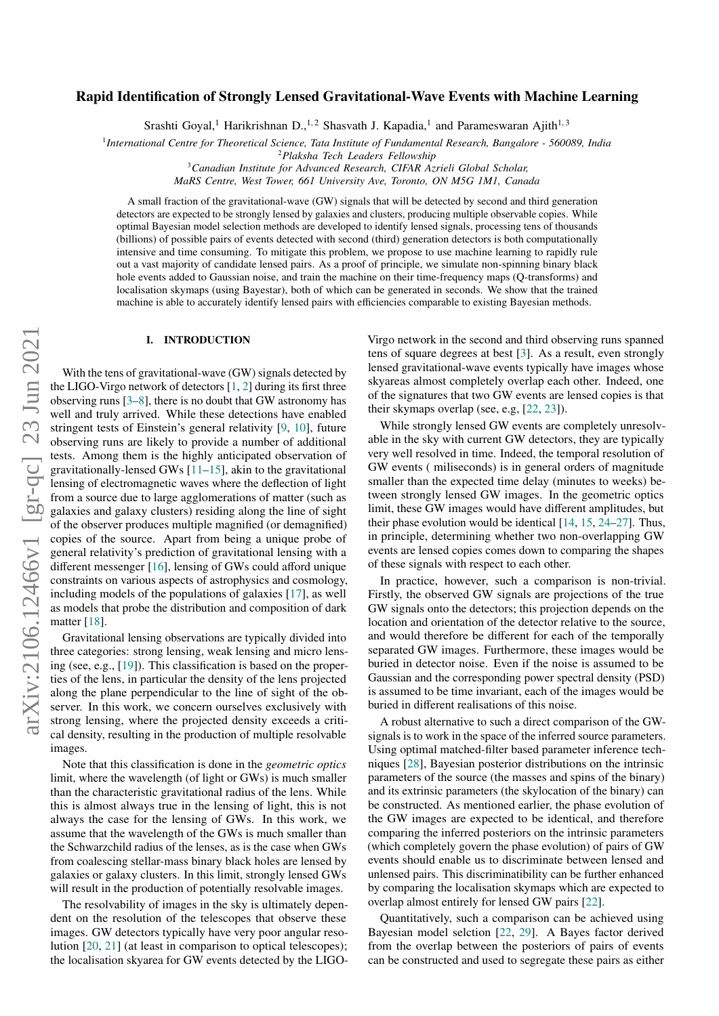# Rapid Identification of Strongly Lensed Gravitational-Wave Events with Machine Learning

Srashti Goyal,<sup>1</sup> Harikrishnan D.,<sup>1,2</sup> Shasvath J. Kapadia,<sup>1</sup> and Parameswaran Ajith<sup>1,3</sup>

1 *International Centre for Theoretical Science, Tata Institute of Fundamental Research, Bangalore - 560089, India*

<sup>2</sup>*Plaksha Tech Leaders Fellowship*

<sup>3</sup>*Canadian Institute for Advanced Research, CIFAR Azrieli Global Scholar,*

*MaRS Centre, West Tower, 661 University Ave, Toronto, ON M5G 1M1, Canada*

A small fraction of the gravitational-wave (GW) signals that will be detected by second and third generation detectors are expected to be strongly lensed by galaxies and clusters, producing multiple observable copies. While optimal Bayesian model selection methods are developed to identify lensed signals, processing tens of thousands (billions) of possible pairs of events detected with second (third) generation detectors is both computationally intensive and time consuming. To mitigate this problem, we propose to use machine learning to rapidly rule out a vast majority of candidate lensed pairs. As a proof of principle, we simulate non-spinning binary black hole events added to Gaussian noise, and train the machine on their time-frequency maps (Q-transforms) and localisation skymaps (using Bayestar), both of which can be generated in seconds. We show that the trained machine is able to accurately identify lensed pairs with efficiencies comparable to existing Bayesian methods.

# I. INTRODUCTION

With the tens of gravitational-wave (GW) signals detected by the LIGO-Virgo network of detectors [\[1,](#page-9-0) [2\]](#page-9-1) during its first three observing runs  $[3-8]$  $[3-8]$ , there is no doubt that GW astronomy has well and truly arrived. While these detections have enabled stringent tests of Einstein's general relativity [\[9,](#page-9-4) [10\]](#page-9-5), future observing runs are likely to provide a number of additional tests. Among them is the highly anticipated observation of gravitationally-lensed GWs [\[11](#page-9-6)[–15\]](#page-9-7), akin to the gravitational lensing of electromagnetic waves where the deflection of light from a source due to large agglomerations of matter (such as galaxies and galaxy clusters) residing along the line of sight of the observer produces multiple magnified (or demagnified) copies of the source. Apart from being a unique probe of general relativity's prediction of gravitational lensing with a different messenger [\[16\]](#page-9-8), lensing of GWs could afford unique constraints on various aspects of astrophysics and cosmology, including models of the populations of galaxies [\[17\]](#page-9-9), as well as models that probe the distribution and composition of dark matter [\[18\]](#page-9-10).

Gravitational lensing observations are typically divided into three categories: strong lensing, weak lensing and micro lensing (see, e.g., [\[19\]](#page-9-11)). This classification is based on the properties of the lens, in particular the density of the lens projected along the plane perpendicular to the line of sight of the observer. In this work, we concern ourselves exclusively with strong lensing, where the projected density exceeds a critical density, resulting in the production of multiple resolvable images.

Note that this classification is done in the *geometric optics* limit, where the wavelength (of light or GWs) is much smaller than the characteristic gravitational radius of the lens. While this is almost always true in the lensing of light, this is not always the case for the lensing of GWs. In this work, we assume that the wavelength of the GWs is much smaller than the Schwarzchild radius of the lenses, as is the case when GWs from coalescing stellar-mass binary black holes are lensed by galaxies or galaxy clusters. In this limit, strongly lensed GWs will result in the production of potentially resolvable images.

The resolvability of images in the sky is ultimately dependent on the resolution of the telescopes that observe these images. GW detectors typically have very poor angular resolution [\[20,](#page-9-12) [21\]](#page-9-13) (at least in comparison to optical telescopes); the localisation skyarea for GW events detected by the LIGO- Virgo network in the second and third observing runs spanned tens of square degrees at best [\[3\]](#page-9-2). As a result, even strongly lensed gravitational-wave events typically have images whose skyareas almost completely overlap each other. Indeed, one of the signatures that two GW events are lensed copies is that their skymaps overlap (see, e.g, [\[22,](#page-9-14) [23\]](#page-9-15)).

While strongly lensed GW events are completely unresolvable in the sky with current GW detectors, they are typically very well resolved in time. Indeed, the temporal resolution of GW events ( miliseconds) is in general orders of magnitude smaller than the expected time delay (minutes to weeks) between strongly lensed GW images. In the geometric optics limit, these GW images would have different amplitudes, but their phase evolution would be identical [\[14,](#page-9-16) [15,](#page-9-7) [24–](#page-9-17)[27\]](#page-9-18). Thus, in principle, determining whether two non-overlapping GW events are lensed copies comes down to comparing the shapes of these signals with respect to each other.

In practice, however, such a comparison is non-trivial. Firstly, the observed GW signals are projections of the true GW signals onto the detectors; this projection depends on the location and orientation of the detector relative to the source, and would therefore be different for each of the temporally separated GW images. Furthermore, these images would be buried in detector noise. Even if the noise is assumed to be Gaussian and the corresponding power spectral density (PSD) is assumed to be time invariant, each of the images would be buried in different realisations of this noise.

A robust alternative to such a direct comparison of the GWsignals is to work in the space of the inferred source parameters. Using optimal matched-filter based parameter inference techniques [\[28\]](#page-9-19), Bayesian posterior distributions on the intrinsic parameters of the source (the masses and spins of the binary) and its extrinsic parameters (the skylocation of the binary) can be constructed. As mentioned earlier, the phase evolution of the GW images are expected to be identical, and therefore comparing the inferred posteriors on the intrinsic parameters (which completely govern the phase evolution) of pairs of GW events should enable us to discriminate between lensed and unlensed pairs. This discriminatibility can be further enhanced by comparing the localisation skymaps which are expected to overlap almost entirely for lensed GW pairs [\[22\]](#page-9-14).

Quantitatively, such a comparison can be achieved using Bayesian model selction [\[22,](#page-9-14) [29\]](#page-9-20). A Bayes factor derived from the overlap between the posteriors of pairs of events can be constructed and used to segregate these pairs as either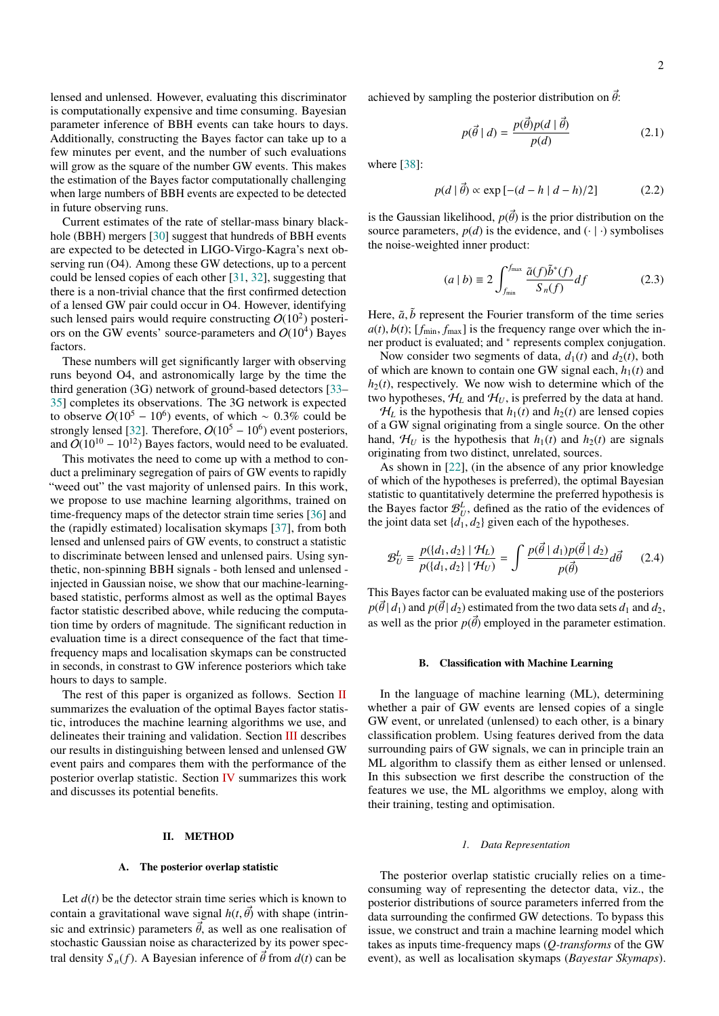lensed and unlensed. However, evaluating this discriminator is computationally expensive and time consuming. Bayesian parameter inference of BBH events can take hours to days. Additionally, constructing the Bayes factor can take up to a few minutes per event, and the number of such evaluations will grow as the square of the number GW events. This makes the estimation of the Bayes factor computationally challenging when large numbers of BBH events are expected to be detected in future observing runs.

Current estimates of the rate of stellar-mass binary blackhole (BBH) mergers [\[30\]](#page-9-21) suggest that hundreds of BBH events are expected to be detected in LIGO-Virgo-Kagra's next observing run (O4). Among these GW detections, up to a percent could be lensed copies of each other [\[31,](#page-9-22) [32\]](#page-9-23), suggesting that there is a non-trivial chance that the first confirmed detection of a lensed GW pair could occur in O4. However, identifying such lensed pairs would require constructing  $O(10^2)$  posteriors on the GW events' source-parameters and  $O(10^4)$  Bayes factors.

These numbers will get significantly larger with observing runs beyond O4, and astronomically large by the time the third generation (3G) network of ground-based detectors [\[33–](#page-9-24) [35\]](#page-9-25) completes its observations. The 3G network is expected to observe  $O(10^5 - 10^6)$  events, of which ~ 0.3% could be strongly lensed [\[32\]](#page-9-23). Therefore,  $O(10^5 - 10^6)$  event posteriors, and  $\ddot{O}(10^{10} - 10^{12})$  Bayes factors, would need to be evaluated.

This motivates the need to come up with a method to conduct a preliminary segregation of pairs of GW events to rapidly "weed out" the vast majority of unlensed pairs. In this work, we propose to use machine learning algorithms, trained on time-frequency maps of the detector strain time series [\[36\]](#page-9-26) and the (rapidly estimated) localisation skymaps [\[37\]](#page-9-27), from both lensed and unlensed pairs of GW events, to construct a statistic to discriminate between lensed and unlensed pairs. Using synthetic, non-spinning BBH signals - both lensed and unlensed injected in Gaussian noise, we show that our machine-learningbased statistic, performs almost as well as the optimal Bayes factor statistic described above, while reducing the computation time by orders of magnitude. The significant reduction in evaluation time is a direct consequence of the fact that timefrequency maps and localisation skymaps can be constructed in seconds, in constrast to GW inference posteriors which take hours to days to sample.

The rest of this paper is organized as follows. Section [II](#page-1-0) summarizes the evaluation of the optimal Bayes factor statistic, introduces the machine learning algorithms we use, and delineates their training and validation. Section [III](#page-6-0) describes our results in distinguishing between lensed and unlensed GW event pairs and compares them with the performance of the posterior overlap statistic. Section [IV](#page-7-0) summarizes this work and discusses its potential benefits.

# <span id="page-1-0"></span>II. METHOD

### A. The posterior overlap statistic

Let  $d(t)$  be the detector strain time series which is known to contain a gravitational wave signal  $h(t, \vec{\theta})$  with shape (intrinsic and extrinsic) parameters  $\vec{\theta}$ , as well as one realisation of stochastic Gaussian noise as characterized by its power spectral density  $S_n(f)$ . A Bayesian inference of  $\vec{\theta}$  from  $d(t)$  can be

achieved by sampling the posterior distribution on  $\vec{\theta}$ :

$$
p(\vec{\theta} \mid d) = \frac{p(\vec{\theta})p(d \mid \vec{\theta})}{p(d)} \tag{2.1}
$$

where [\[38\]](#page-9-28):

$$
p(d | \vec{\theta}) \propto \exp [-(d - h | d - h)/2]
$$
 (2.2)

is the Gaussian likelihood,  $p(\vec{\theta})$  is the prior distribution on the source parameters,  $p(d)$  is the evidence, and  $(·)$  symbolises the noise-weighted inner product:

$$
(a \mid b) \equiv 2 \int_{f_{\text{min}}}^{f_{\text{max}}} \frac{\tilde{a}(f)\tilde{b}^*(f)}{S_n(f)} df
$$
 (2.3)

Here,  $\tilde{a}$ ,  $\tilde{b}$  represent the Fourier transform of the time series  $a(t)$ ,  $b(t)$ ; [ $f_{min}$ ,  $f_{max}$ ] is the frequency range over which the inner product is evaluated; and <sup>∗</sup> represents complex conjugation.

Now consider two segments of data,  $d_1(t)$  and  $d_2(t)$ , both of which are known to contain one GW signal each,  $h_1(t)$  and  $h_2(t)$ , respectively. We now wish to determine which of the two hypotheses,  $\mathcal{H}_L$  and  $\mathcal{H}_U$ , is preferred by the data at hand.

 $H_L$  is the hypothesis that  $h_1(t)$  and  $h_2(t)$  are lensed copies of a GW signal originating from a single source. On the other hand,  $\mathcal{H}_U$  is the hypothesis that  $h_1(t)$  and  $h_2(t)$  are signals originating from two distinct, unrelated, sources.

As shown in [\[22\]](#page-9-14), (in the absence of any prior knowledge of which of the hypotheses is preferred), the optimal Bayesian statistic to quantitatively determine the preferred hypothesis is the Bayes factor  $\mathcal{B}_{U}^{L}$ , defined as the ratio of the evidences of the joint data set  $\{d_1, d_2\}$  given each of the hypotheses.

$$
\mathcal{B}_{U}^{L} \equiv \frac{p(\{d_{1}, d_{2}\} \mid \mathcal{H}_{L})}{p(\{d_{1}, d_{2}\} \mid \mathcal{H}_{U})} = \int \frac{p(\vec{\theta} \mid d_{1}) p(\vec{\theta} \mid d_{2})}{p(\vec{\theta})} d\vec{\theta}
$$
(2.4)

This Bayes factor can be evaluated making use of the posteriors  $p(\vec{\theta} | d_1)$  and  $p(\vec{\theta} | d_2)$  estimated from the two data sets  $d_1$  and  $d_2$ , as well as the prior  $p(\vec{\theta})$  employed in the parameter estimation.

# B. Classification with Machine Learning

In the language of machine learning (ML), determining whether a pair of GW events are lensed copies of a single GW event, or unrelated (unlensed) to each other, is a binary classification problem. Using features derived from the data surrounding pairs of GW signals, we can in principle train an ML algorithm to classify them as either lensed or unlensed. In this subsection we first describe the construction of the features we use, the ML algorithms we employ, along with their training, testing and optimisation.

#### *1. Data Representation*

The posterior overlap statistic crucially relies on a timeconsuming way of representing the detector data, viz., the posterior distributions of source parameters inferred from the data surrounding the confirmed GW detections. To bypass this issue, we construct and train a machine learning model which takes as inputs time-frequency maps (*Q-transforms* of the GW event), as well as localisation skymaps (*Bayestar Skymaps*).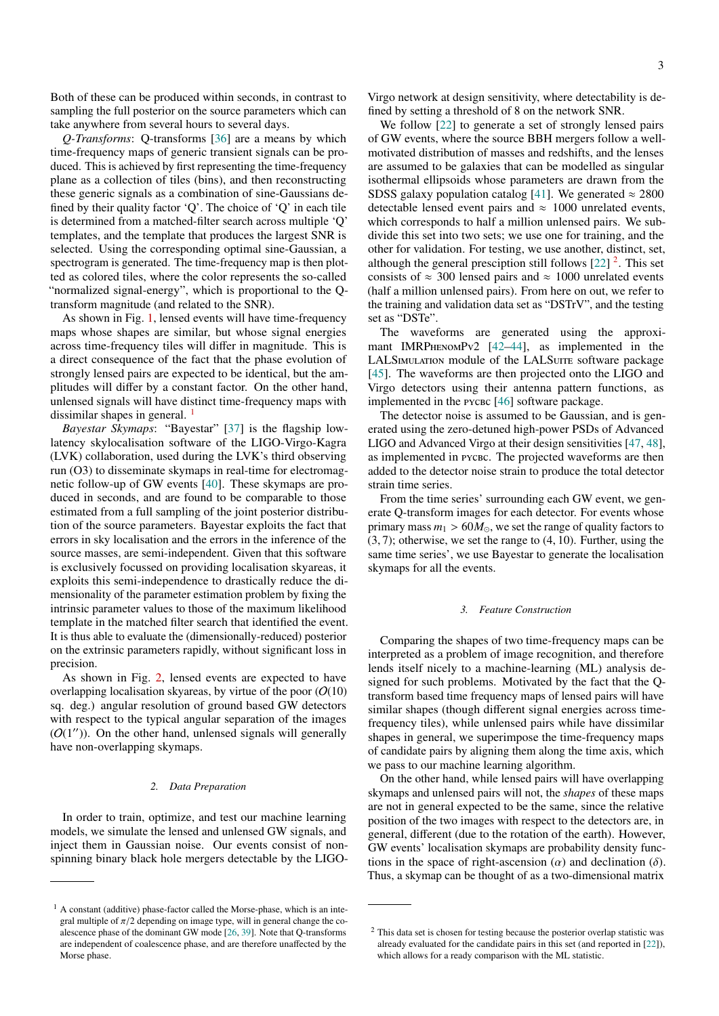Both of these can be produced within seconds, in contrast to sampling the full posterior on the source parameters which can take anywhere from several hours to several days.

*Q-Transforms*: Q-transforms [\[36\]](#page-9-26) are a means by which time-frequency maps of generic transient signals can be produced. This is achieved by first representing the time-frequency plane as a collection of tiles (bins), and then reconstructing these generic signals as a combination of sine-Gaussians defined by their quality factor 'Q'. The choice of 'Q' in each tile is determined from a matched-filter search across multiple 'Q' templates, and the template that produces the largest SNR is selected. Using the corresponding optimal sine-Gaussian, a spectrogram is generated. The time-frequency map is then plotted as colored tiles, where the color represents the so-called "normalized signal-energy", which is proportional to the Qtransform magnitude (and related to the SNR).

As shown in Fig. [1,](#page-3-0) lensed events will have time-frequency maps whose shapes are similar, but whose signal energies across time-frequency tiles will differ in magnitude. This is a direct consequence of the fact that the phase evolution of strongly lensed pairs are expected to be identical, but the amplitudes will differ by a constant factor. On the other hand, unlensed signals will have distinct time-frequency maps with dissimilar shapes in general.<sup>[1](#page-2-0)</sup>

*Bayestar Skymaps*: "Bayestar" [\[37\]](#page-9-27) is the flagship lowlatency skylocalisation software of the LIGO-Virgo-Kagra (LVK) collaboration, used during the LVK's third observing run (O3) to disseminate skymaps in real-time for electromagnetic follow-up of GW events [\[40\]](#page-9-29). These skymaps are produced in seconds, and are found to be comparable to those estimated from a full sampling of the joint posterior distribution of the source parameters. Bayestar exploits the fact that errors in sky localisation and the errors in the inference of the source masses, are semi-independent. Given that this software is exclusively focussed on providing localisation skyareas, it exploits this semi-independence to drastically reduce the dimensionality of the parameter estimation problem by fixing the intrinsic parameter values to those of the maximum likelihood template in the matched filter search that identified the event. It is thus able to evaluate the (dimensionally-reduced) posterior on the extrinsic parameters rapidly, without significant loss in precision.

As shown in Fig. [2,](#page-4-0) lensed events are expected to have overlapping localisation skyareas, by virtue of the poor  $(O(10))$ sq. deg.) angular resolution of ground based GW detectors with respect to the typical angular separation of the images  $(O(1''))$ . On the other hand, unlensed signals will generally have non-overlapping skymaps.

# *2. Data Preparation*

In order to train, optimize, and test our machine learning models, we simulate the lensed and unlensed GW signals, and inject them in Gaussian noise. Our events consist of nonspinning binary black hole mergers detectable by the LIGO-

Virgo network at design sensitivity, where detectability is defined by setting a threshold of 8 on the network SNR.

We follow [\[22\]](#page-9-14) to generate a set of strongly lensed pairs of GW events, where the source BBH mergers follow a wellmotivated distribution of masses and redshifts, and the lenses are assumed to be galaxies that can be modelled as singular isothermal ellipsoids whose parameters are drawn from the SDSS galaxy population catalog [\[41\]](#page-9-32). We generated  $\approx 2800$ detectable lensed event pairs and  $\approx 1000$  unrelated events, which corresponds to half a million unlensed pairs. We subdivide this set into two sets; we use one for training, and the other for validation. For testing, we use another, distinct, set, although the general presciption still follows  $[22]$ <sup>[2](#page-2-1)</sup>. This set consists of  $\approx 300$  lensed pairs and  $\approx 1000$  unrelated events (half a million unlensed pairs). From here on out, we refer to the training and validation data set as "DSTrV", and the testing set as "DSTe".

The waveforms are generated using the approxi-mant IMRPHENOMPv2 [42-[44\]](#page-9-34), as implemented in the LALSIMULATION module of the LALSUITE software package [\[45\]](#page-9-35). The waveforms are then projected onto the LIGO and Virgo detectors using their antenna pattern functions, as implemented in the  $PYCEC$  [\[46\]](#page-10-0) software package.

The detector noise is assumed to be Gaussian, and is generated using the zero-detuned high-power PSDs of Advanced LIGO and Advanced Virgo at their design sensitivities [\[47,](#page-10-1) [48\]](#page-10-2), as implemented in pycbc. The projected waveforms are then added to the detector noise strain to produce the total detector strain time series.

From the time series' surrounding each GW event, we generate Q-transform images for each detector. For events whose primary mass  $m_1 > 60 M_{\odot}$ , we set the range of quality factors to (3, 7); otherwise, we set the range to (4, 10). Further, using the same time series', we use Bayestar to generate the localisation skymaps for all the events.

#### <span id="page-2-2"></span>*3. Feature Construction*

Comparing the shapes of two time-frequency maps can be interpreted as a problem of image recognition, and therefore lends itself nicely to a machine-learning (ML) analysis designed for such problems. Motivated by the fact that the Qtransform based time frequency maps of lensed pairs will have similar shapes (though different signal energies across timefrequency tiles), while unlensed pairs while have dissimilar shapes in general, we superimpose the time-frequency maps of candidate pairs by aligning them along the time axis, which we pass to our machine learning algorithm.

On the other hand, while lensed pairs will have overlapping skymaps and unlensed pairs will not, the *shapes* of these maps are not in general expected to be the same, since the relative position of the two images with respect to the detectors are, in general, different (due to the rotation of the earth). However, GW events' localisation skymaps are probability density functions in the space of right-ascension  $(\alpha)$  and declination  $(\delta)$ . Thus, a skymap can be thought of as a two-dimensional matrix

<span id="page-2-0"></span><sup>&</sup>lt;sup>1</sup> A constant (additive) phase-factor called the Morse-phase, which is an integral multiple of  $\pi/2$  depending on image type, will in general change the coalescence phase of the dominant GW mode [\[26,](#page-9-30) [39\]](#page-9-31). Note that Q-transforms are independent of coalescence phase, and are therefore unaffected by the Morse phase.

<span id="page-2-1"></span><sup>&</sup>lt;sup>2</sup> This data set is chosen for testing because the posterior overlap statistic was already evaluated for the candidate pairs in this set (and reported in [\[22\]](#page-9-14)), which allows for a ready comparison with the ML statistic.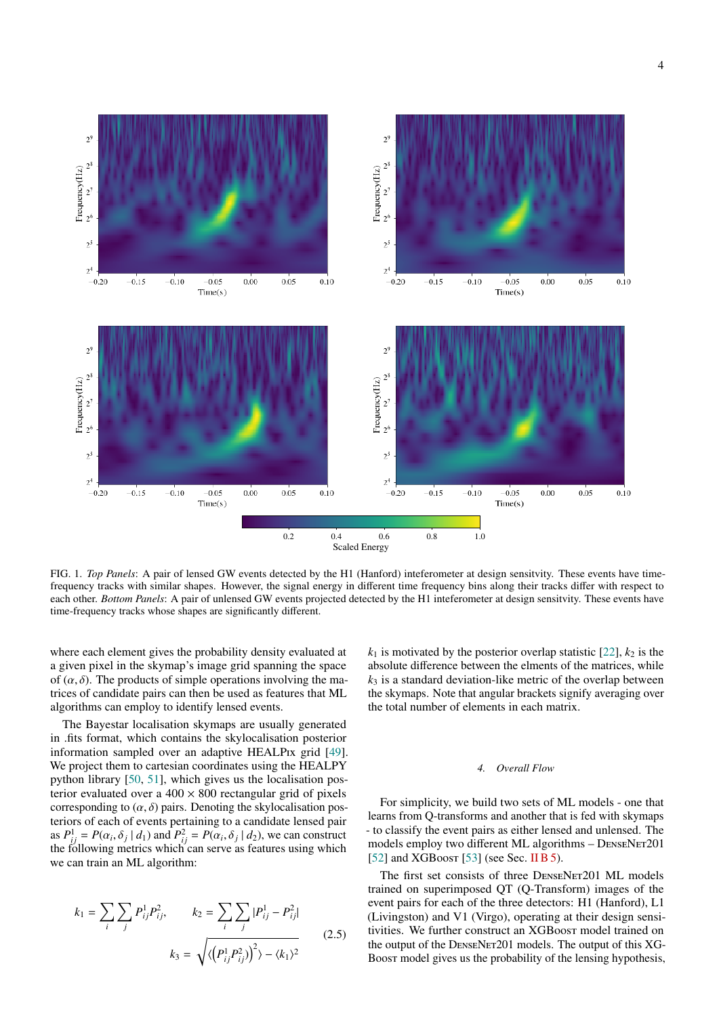

<span id="page-3-0"></span>FIG. 1. *Top Panels*: A pair of lensed GW events detected by the H1 (Hanford) inteferometer at design sensitvity. These events have timefrequency tracks with similar shapes. However, the signal energy in different time frequency bins along their tracks differ with respect to each other. *Bottom Panels*: A pair of unlensed GW events projected detected by the H1 inteferometer at design sensitvity. These events have time-frequency tracks whose shapes are significantly different.

where each element gives the probability density evaluated at a given pixel in the skymap's image grid spanning the space of  $(\alpha, \delta)$ . The products of simple operations involving the matrices of candidate pairs can then be used as features that ML algorithms can employ to identify lensed events.

The Bayestar localisation skymaps are usually generated in .fits format, which contains the skylocalisation posterior information sampled over an adaptive HEALPIx grid [\[49\]](#page-10-3). We project them to cartesian coordinates using the HEALPY python library [\[50,](#page-10-4) [51\]](#page-10-5), which gives us the localisation posterior evaluated over a  $400 \times 800$  rectangular grid of pixels corresponding to  $(\alpha, \delta)$  pairs. Denoting the skylocalisation posteriors of each of events pertaining to a candidate lensed pair as  $P_{ij}^1 = P(\alpha_i, \delta_j \mid d_1)$  and  $P_{ij}^2 = P(\alpha_i, \delta_j \mid d_2)$ , we can construct the following metrics which can serve as features using which we can train an ML algorithm:

$$
k_1 = \sum_{i} \sum_{j} P_{ij}^{1} P_{ij}^{2}, \qquad k_2 = \sum_{i} \sum_{j} |P_{ij}^{1} - P_{ij}^{2}|
$$
  

$$
k_3 = \sqrt{\langle (P_{ij}^{1} P_{ij}^{2}) \rangle^{2} - \langle k_1 \rangle^{2}}
$$
 (2.5)

 $k_1$  is motivated by the posterior overlap statistic [\[22\]](#page-9-14),  $k_2$  is the absolute difference between the elments of the matrices, while  $k<sub>3</sub>$  is a standard deviation-like metric of the overlap between the skymaps. Note that angular brackets signify averaging over the total number of elements in each matrix.

#### *4. Overall Flow*

For simplicity, we build two sets of ML models - one that learns from Q-transforms and another that is fed with skymaps - to classify the event pairs as either lensed and unlensed. The models employ two different ML algorithms - DENSENET201 [\[52\]](#page-10-6) and XGBoost [\[53\]](#page-10-7) (see Sec. [II B 5\)](#page-4-1).

The first set consists of three DENSENET201 ML models trained on superimposed QT (Q-Transform) images of the event pairs for each of the three detectors: H1 (Hanford), L1 (Livingston) and V1 (Virgo), operating at their design sensitivities. We further construct an XGBoost model trained on the output of the DENSENET201 models. The output of this XG-Boost model gives us the probability of the lensing hypothesis,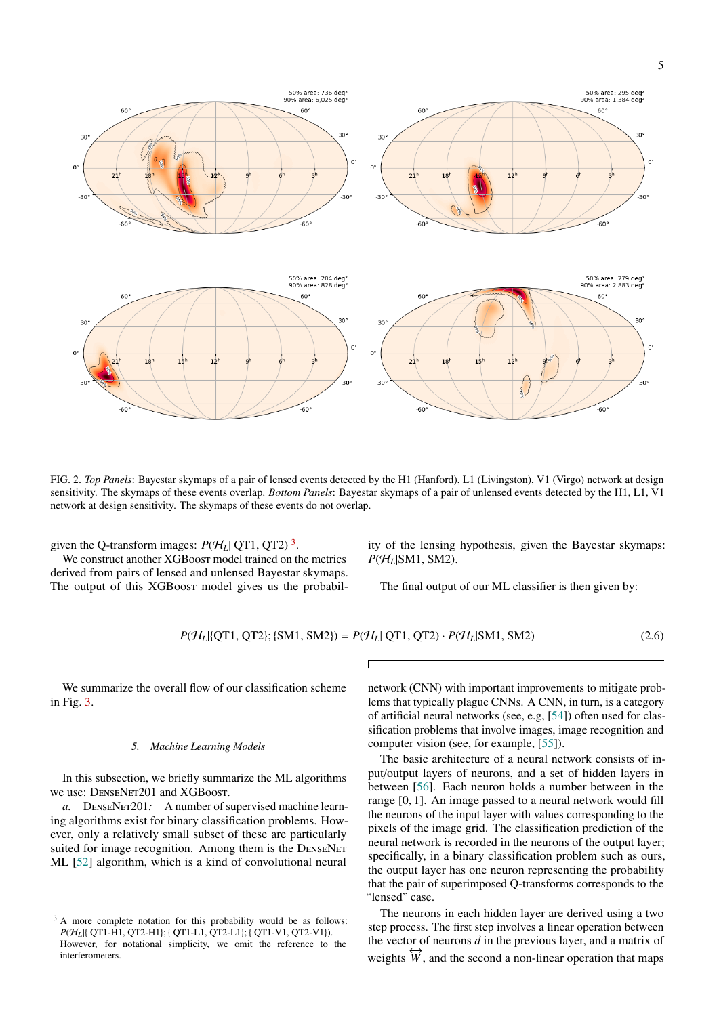5



<span id="page-4-0"></span>FIG. 2. *Top Panels*: Bayestar skymaps of a pair of lensed events detected by the H1 (Hanford), L1 (Livingston), V1 (Virgo) network at design sensitivity. The skymaps of these events overlap. *Bottom Panels*: Bayestar skymaps of a pair of unlensed events detected by the H1, L1, V1 network at design sensitivity. The skymaps of these events do not overlap.

given the Q-transform images:  $P(H_L | \text{QT1}, \text{QT2})$ <sup>[3](#page-4-2)</sup>.

We construct another XGBoost model trained on the metrics derived from pairs of lensed and unlensed Bayestar skymaps. The output of this XGBoost model gives us the probability of the lensing hypothesis, given the Bayestar skymaps:  $P(H_L|SM1, SM2)$ .

The final output of our ML classifier is then given by:

<span id="page-4-3"></span>
$$
P(\mathcal{H}_L | \{QT1, QT2\}; \{SM1, SM2\}) = P(\mathcal{H}_L | QT1, QT2) \cdot P(\mathcal{H}_L | SM1, SM2)
$$
\n(2.6)

We summarize the overall flow of our classification scheme in Fig. [3.](#page-5-0)

# <span id="page-4-1"></span>*5. Machine Learning Models*

In this subsection, we briefly summarize the ML algorithms we use: DENSENET201 and XGBoost.

*a.* DenseNet201*:* A number of supervised machine learning algorithms exist for binary classification problems. However, only a relatively small subset of these are particularly suited for image recognition. Among them is the DENSENET ML [\[52\]](#page-10-6) algorithm, which is a kind of convolutional neural

network (CNN) with important improvements to mitigate problems that typically plague CNNs. A CNN, in turn, is a category of artificial neural networks (see, e.g, [\[54\]](#page-10-8)) often used for classification problems that involve images, image recognition and computer vision (see, for example, [\[55\]](#page-10-9)).

The basic architecture of a neural network consists of input/output layers of neurons, and a set of hidden layers in between [\[56\]](#page-10-10). Each neuron holds a number between in the range [0, 1]. An image passed to a neural network would fill the neurons of the input layer with values corresponding to the pixels of the image grid. The classification prediction of the neural network is recorded in the neurons of the output layer; specifically, in a binary classification problem such as ours, the output layer has one neuron representing the probability that the pair of superimposed Q-transforms corresponds to the "lensed" case.

The neurons in each hidden layer are derived using a two step process. The first step involves a linear operation between the vector of neurons  $\vec{a}$  in the previous layer, and a matrix of weights  $\overleftrightarrow{W}$ , and the second a non-linear operation that maps

<span id="page-4-2"></span><sup>&</sup>lt;sup>3</sup> A more complete notation for this probability would be as follows: *P*( $H_L$ |{ QT1-H1, QT2-H1}; { QT1-L1, QT2-L1}; { QT1-V1, QT2-V1}). However, for notational simplicity, we omit the reference to the interferometers.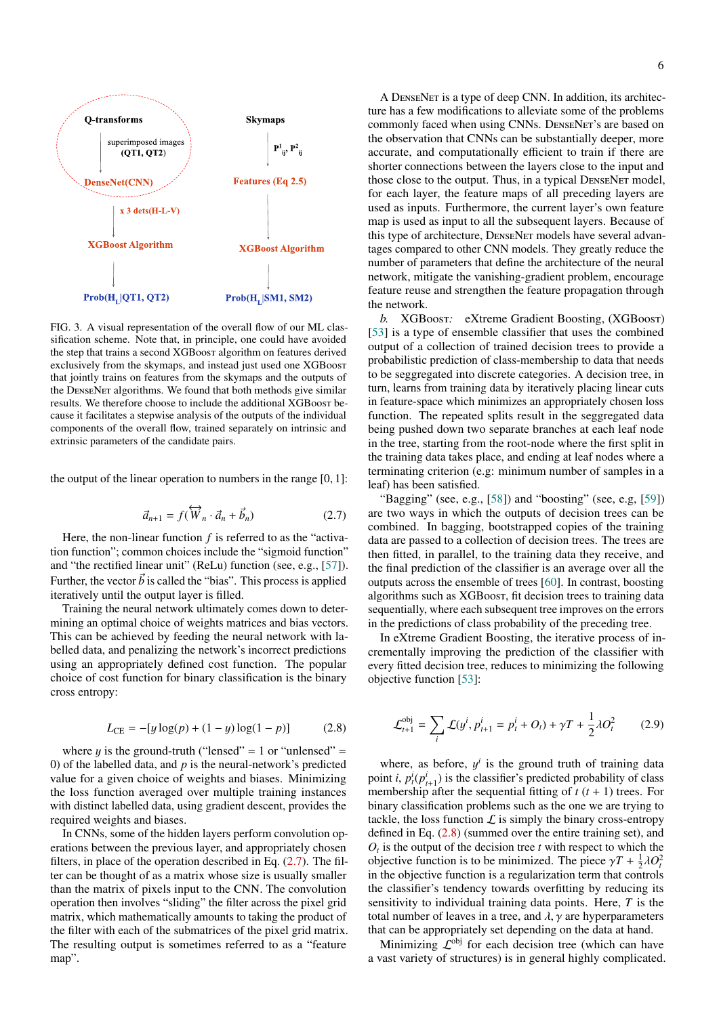

<span id="page-5-0"></span>FIG. 3. A visual representation of the overall flow of our ML classification scheme. Note that, in principle, one could have avoided the step that trains a second XGBoost algorithm on features derived exclusively from the skymaps, and instead just used one XGBoost that jointly trains on features from the skymaps and the outputs of the DenseNet algorithms. We found that both methods give similar results. We therefore choose to include the additional XGBoost because it facilitates a stepwise analysis of the outputs of the individual components of the overall flow, trained separately on intrinsic and extrinsic parameters of the candidate pairs.

the output of the linear operation to numbers in the range  $[0, 1]$ :

<span id="page-5-1"></span>
$$
\vec{a}_{n+1} = f(\overleftrightarrow{W}_n \cdot \vec{a}_n + \vec{b}_n) \tag{2.7}
$$

Here, the non-linear function *f* is referred to as the "activation function"; common choices include the "sigmoid function" and "the rectified linear unit" (ReLu) function (see, e.g., [\[57\]](#page-10-11)). Further, the vector  $\vec{b}$  is called the "bias". This process is applied iteratively until the output layer is filled.

Training the neural network ultimately comes down to determining an optimal choice of weights matrices and bias vectors. This can be achieved by feeding the neural network with labelled data, and penalizing the network's incorrect predictions using an appropriately defined cost function. The popular choice of cost function for binary classification is the binary cross entropy:

<span id="page-5-2"></span>
$$
L_{\rm CE} = -[y \log(p) + (1 - y) \log(1 - p)] \tag{2.8}
$$

where  $y$  is the ground-truth ("lensed" = 1 or "unlensed" = 0) of the labelled data, and *p* is the neural-network's predicted value for a given choice of weights and biases. Minimizing the loss function averaged over multiple training instances with distinct labelled data, using gradient descent, provides the required weights and biases.

In CNNs, some of the hidden layers perform convolution operations between the previous layer, and appropriately chosen filters, in place of the operation described in Eq. [\(2.7\)](#page-5-1). The filter can be thought of as a matrix whose size is usually smaller than the matrix of pixels input to the CNN. The convolution operation then involves "sliding" the filter across the pixel grid matrix, which mathematically amounts to taking the product of the filter with each of the submatrices of the pixel grid matrix. The resulting output is sometimes referred to as a "feature map".

A DenseNet is a type of deep CNN. In addition, its architecture has a few modifications to alleviate some of the problems commonly faced when using CNNs. DenseNet's are based on the observation that CNNs can be substantially deeper, more accurate, and computationally efficient to train if there are shorter connections between the layers close to the input and those close to the output. Thus, in a typical DenseNet model, for each layer, the feature maps of all preceding layers are used as inputs. Furthermore, the current layer's own feature map is used as input to all the subsequent layers. Because of this type of architecture, DenseNet models have several advantages compared to other CNN models. They greatly reduce the number of parameters that define the architecture of the neural network, mitigate the vanishing-gradient problem, encourage feature reuse and strengthen the feature propagation through the network.

*b.* XGBoost*:* eXtreme Gradient Boosting, (XGBoost) [\[53\]](#page-10-7) is a type of ensemble classifier that uses the combined output of a collection of trained decision trees to provide a probabilistic prediction of class-membership to data that needs to be seggregated into discrete categories. A decision tree, in turn, learns from training data by iteratively placing linear cuts in feature-space which minimizes an appropriately chosen loss function. The repeated splits result in the seggregated data being pushed down two separate branches at each leaf node in the tree, starting from the root-node where the first split in the training data takes place, and ending at leaf nodes where a terminating criterion (e.g: minimum number of samples in a leaf) has been satisfied.

"Bagging" (see, e.g.,  $[58]$ ) and "boosting" (see, e.g,  $[59]$ ) are two ways in which the outputs of decision trees can be combined. In bagging, bootstrapped copies of the training data are passed to a collection of decision trees. The trees are then fitted, in parallel, to the training data they receive, and the final prediction of the classifier is an average over all the outputs across the ensemble of trees [\[60\]](#page-10-14). In contrast, boosting algorithms such as XGBoost, fit decision trees to training data sequentially, where each subsequent tree improves on the errors in the predictions of class probability of the preceding tree.

In eXtreme Gradient Boosting, the iterative process of incrementally improving the prediction of the classifier with every fitted decision tree, reduces to minimizing the following objective function [\[53\]](#page-10-7):

$$
\mathcal{L}_{t+1}^{\text{obj}} = \sum_{i} \mathcal{L}(y^i, p_{t+1}^i = p_t^i + O_t) + \gamma T + \frac{1}{2} \lambda O_t^2 \tag{2.9}
$$

where, as before,  $y^i$  is the ground truth of training data point *i*,  $p_i^i(p_{i+1}^i)$  is the classifier's predicted probability of class membership after the sequential fitting of  $t$  ( $t$  + 1) trees. For binary classification problems such as the one we are trying to tackle, the loss function  $\mathcal L$  is simply the binary cross-entropy defined in Eq. [\(2.8\)](#page-5-2) (summed over the entire training set), and  $O_t$  is the output of the decision tree  $t$  with respect to which the objective function is to be minimized. The piece  $\gamma T + \frac{1}{2}\lambda O_t^2$ in the objective function is a regularization term that controls the classifier's tendency towards overfitting by reducing its sensitivity to individual training data points. Here, *T* is the total number of leaves in a tree, and  $\lambda$ ,  $\gamma$  are hyperparameters that can be appropriately set depending on the data at hand.

Minimizing  $\mathcal{L}^{obj}$  for each decision tree (which can have a vast variety of structures) is in general highly complicated.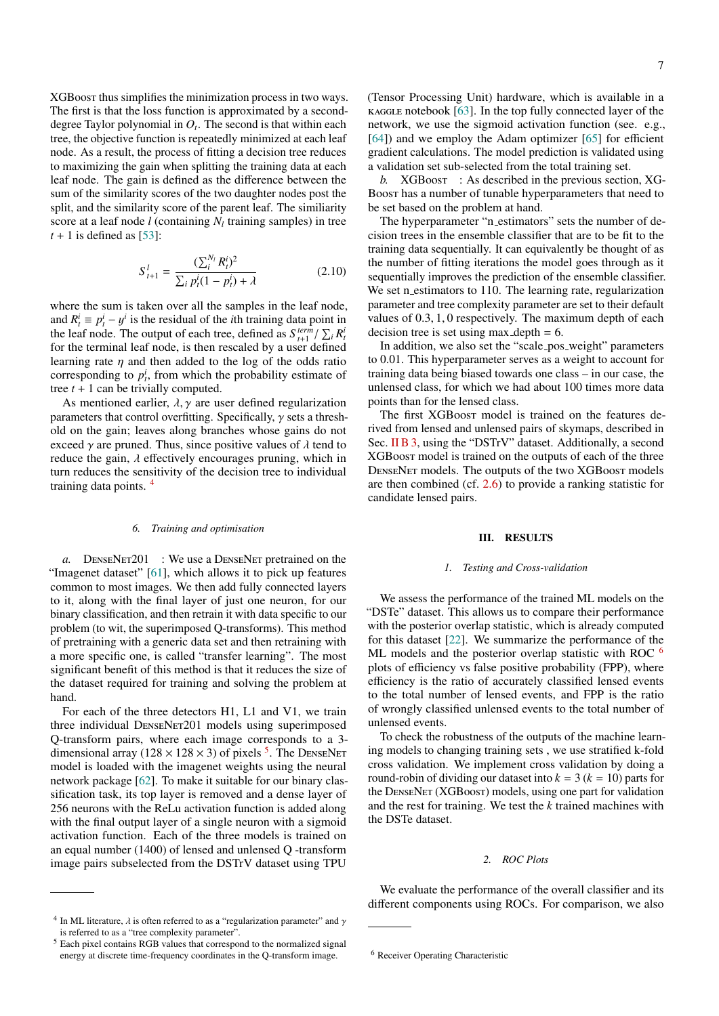XGBoost thus simplifies the minimization process in two ways. The first is that the loss function is approximated by a seconddegree Taylor polynomial in *O<sup>t</sup>* . The second is that within each tree, the objective function is repeatedly minimized at each leaf node. As a result, the process of fitting a decision tree reduces to maximizing the gain when splitting the training data at each leaf node. The gain is defined as the difference between the sum of the similarity scores of the two daughter nodes post the split, and the similarity score of the parent leaf. The similiarity score at a leaf node  $l$  (containing  $N_l$  training samples) in tree  $t + 1$  is defined as [\[53\]](#page-10-7):

$$
S_{t+1}^{l} = \frac{(\sum_{i}^{N_{l}} R_{t}^{i})^{2}}{\sum_{i} p_{t}^{i} (1 - p_{t}^{i}) + \lambda}
$$
(2.10)

where the sum is taken over all the samples in the leaf node, and  $R_t^i \equiv p_t^i - y^i$  is the residual of the *i*th training data point in the leaf node. The output of each tree, defined as  $S_{t+1}^{term} / \sum_{i} R_i^{i}$ for the terminal leaf node, is then rescaled by a user defined learning rate  $\eta$  and then added to the log of the odds ratio corresponding to  $p_t^i$ , from which the probability estimate of tree  $t + 1$  can be trivially computed.

As mentioned earlier,  $\lambda$ ,  $\gamma$  are user defined regularization parameters that control overfitting. Specifically,  $\gamma$  sets a threshold on the gain; leaves along branches whose gains do not exceed  $\gamma$  are pruned. Thus, since positive values of  $\lambda$  tend to reduce the gain,  $\lambda$  effectively encourages pruning, which in turn reduces the sensitivity of the decision tree to individual training data points. [4](#page-6-1)

#### *6. Training and optimisation*

*a.* DENSENET201 : We use a DENSENET pretrained on the "Imagenet dataset" [\[61\]](#page-10-15), which allows it to pick up features common to most images. We then add fully connected layers to it, along with the final layer of just one neuron, for our binary classification, and then retrain it with data specific to our problem (to wit, the superimposed Q-transforms). This method of pretraining with a generic data set and then retraining with a more specific one, is called "transfer learning". The most significant benefit of this method is that it reduces the size of the dataset required for training and solving the problem at hand.

For each of the three detectors H1, L1 and V1, we train three individual DENSENET201 models using superimposed Q-transform pairs, where each image corresponds to a 3 dimensional array ( $128 \times 128 \times 3$ ) of pixels <sup>[5](#page-6-2)</sup>. The DENSENET model is loaded with the imagenet weights using the neural network package [\[62\]](#page-10-16). To make it suitable for our binary classification task, its top layer is removed and a dense layer of 256 neurons with the ReLu activation function is added along with the final output layer of a single neuron with a sigmoid activation function. Each of the three models is trained on an equal number (1400) of lensed and unlensed Q -transform image pairs subselected from the DSTrV dataset using TPU 7

(Tensor Processing Unit) hardware, which is available in a  $k$  kaggle notebook [\[63\]](#page-10-17). In the top fully connected layer of the network, we use the sigmoid activation function (see. e.g., [\[64\]](#page-10-18)) and we employ the Adam optimizer [\[65\]](#page-10-19) for efficient gradient calculations. The model prediction is validated using a validation set sub-selected from the total training set.

*b.* XGBoost : As described in the previous section, XG-Boost has a number of tunable hyperparameters that need to be set based on the problem at hand.

The hyperparameter "n\_estimators" sets the number of decision trees in the ensemble classifier that are to be fit to the training data sequentially. It can equivalently be thought of as the number of fitting iterations the model goes through as it sequentially improves the prediction of the ensemble classifier. We set n estimators to 110. The learning rate, regularization parameter and tree complexity parameter are set to their default values of 0.3, 1, 0 respectively. The maximum depth of each decision tree is set using max depth  $= 6$ .

In addition, we also set the "scale pos weight" parameters to 0.01. This hyperparameter serves as a weight to account for training data being biased towards one class – in our case, the unlensed class, for which we had about 100 times more data points than for the lensed class.

The first XGBoost model is trained on the features derived from lensed and unlensed pairs of skymaps, described in Sec. [II B 3,](#page-2-2) using the "DSTrV" dataset. Additionally, a second XGBoost model is trained on the outputs of each of the three DenseNet models. The outputs of the two XGBoost models are then combined (cf. [2.6\)](#page-4-3) to provide a ranking statistic for candidate lensed pairs.

# <span id="page-6-0"></span>III. RESULTS

#### *1. Testing and Cross-validation*

We assess the performance of the trained ML models on the "DSTe" dataset. This allows us to compare their performance with the posterior overlap statistic, which is already computed for this dataset [\[22\]](#page-9-14). We summarize the performance of the ML models and the posterior overlap statistic with ROC <sup>[6](#page-6-3)</sup> plots of efficiency vs false positive probability (FPP), where efficiency is the ratio of accurately classified lensed events to the total number of lensed events, and FPP is the ratio of wrongly classified unlensed events to the total number of unlensed events.

To check the robustness of the outputs of the machine learning models to changing training sets , we use stratified k-fold cross validation. We implement cross validation by doing a round-robin of dividing our dataset into  $k = 3$  ( $k = 10$ ) parts for the DenseNet (XGBoost) models, using one part for validation and the rest for training. We test the *k* trained machines with the DSTe dataset.

# *2. ROC Plots*

We evaluate the performance of the overall classifier and its different components using ROCs. For comparison, we also

<span id="page-6-1"></span><sup>&</sup>lt;sup>4</sup> In ML literature,  $\lambda$  is often referred to as a "regularization parameter" and  $\gamma$ is referred to as a "tree complexity parameter".

<span id="page-6-2"></span><sup>5</sup> Each pixel contains RGB values that correspond to the normalized signal energy at discrete time-frequency coordinates in the Q-transform image.

<span id="page-6-3"></span><sup>6</sup> Receiver Operating Characteristic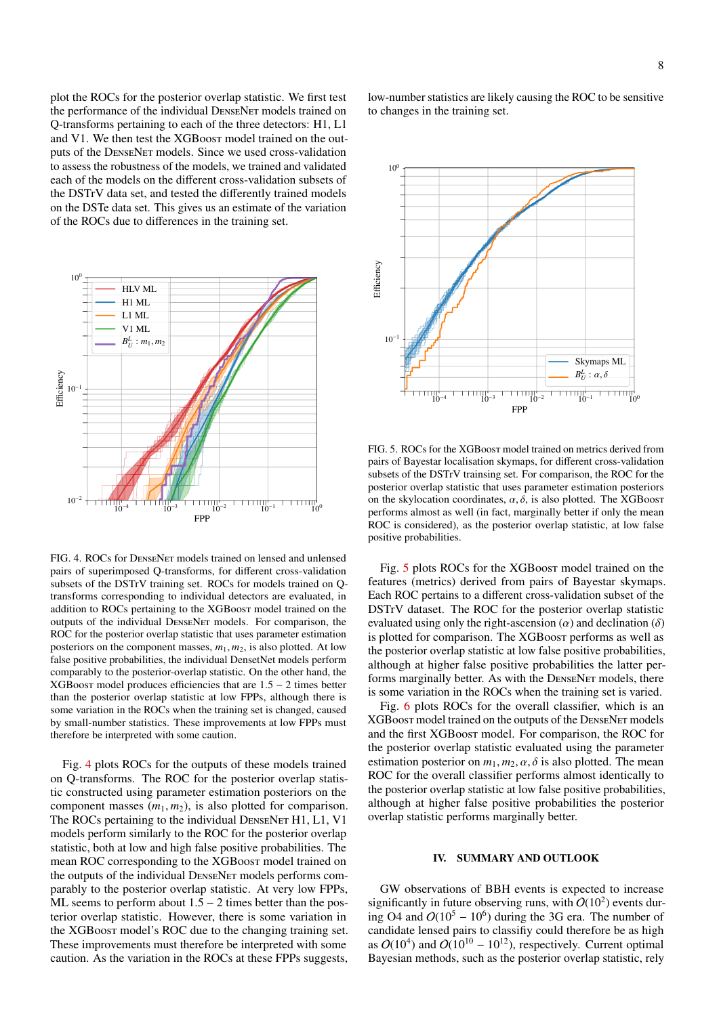plot the ROCs for the posterior overlap statistic. We first test the performance of the individual DenseNet models trained on Q-transforms pertaining to each of the three detectors: H1, L1 and V1. We then test the XGBoost model trained on the outputs of the DenseNet models. Since we used cross-validation to assess the robustness of the models, we trained and validated each of the models on the different cross-validation subsets of the DSTrV data set, and tested the differently trained models on the DSTe data set. This gives us an estimate of the variation of the ROCs due to differences in the training set.



<span id="page-7-1"></span>FIG. 4. ROCs for DenseNet models trained on lensed and unlensed pairs of superimposed Q-transforms, for different cross-validation subsets of the DSTrV training set. ROCs for models trained on Qtransforms corresponding to individual detectors are evaluated, in addition to ROCs pertaining to the XGBoost model trained on the outputs of the individual DenseNet models. For comparison, the ROC for the posterior overlap statistic that uses parameter estimation posteriors on the component masses,  $m_1$ ,  $m_2$ , is also plotted. At low false positive probabilities, the individual DensetNet models perform comparably to the posterior-overlap statistic. On the other hand, the XGBoost model produces efficiencies that are 1.<sup>5</sup> <sup>−</sup> 2 times better than the posterior overlap statistic at low FPPs, although there is some variation in the ROCs when the training set is changed, caused by small-number statistics. These improvements at low FPPs must therefore be interpreted with some caution.

Fig. [4](#page-7-1) plots ROCs for the outputs of these models trained on Q-transforms. The ROC for the posterior overlap statistic constructed using parameter estimation posteriors on the component masses  $(m_1, m_2)$ , is also plotted for comparison. The ROCs pertaining to the individual DENSENET H1, L1, V1 models perform similarly to the ROC for the posterior overlap statistic, both at low and high false positive probabilities. The mean ROC corresponding to the XGBoost model trained on the outputs of the individual DenseNet models performs comparably to the posterior overlap statistic. At very low FPPs, ML seems to perform about  $1.5 - 2$  times better than the posterior overlap statistic. However, there is some variation in the XGBoost model's ROC due to the changing training set. These improvements must therefore be interpreted with some caution. As the variation in the ROCs at these FPPs suggests,

low-number statistics are likely causing the ROC to be sensitive to changes in the training set.



<span id="page-7-2"></span>FIG. 5. ROCs for the XGBoost model trained on metrics derived from pairs of Bayestar localisation skymaps, for different cross-validation subsets of the DSTrV trainsing set. For comparison, the ROC for the posterior overlap statistic that uses parameter estimation posteriors on the skylocation coordinates,  $\alpha$ ,  $\delta$ , is also plotted. The XGBoost performs almost as well (in fact, marginally better if only the mean ROC is considered), as the posterior overlap statistic, at low false positive probabilities.

Fig. [5](#page-7-2) plots ROCs for the XGBoost model trained on the features (metrics) derived from pairs of Bayestar skymaps. Each ROC pertains to a different cross-validation subset of the DSTrV dataset. The ROC for the posterior overlap statistic evaluated using only the right-ascension  $(\alpha)$  and declination  $(\delta)$ is plotted for comparison. The XGBoost performs as well as the posterior overlap statistic at low false positive probabilities, although at higher false positive probabilities the latter performs marginally better. As with the DenseNet models, there is some variation in the ROCs when the training set is varied.

Fig. [6](#page-8-0) plots ROCs for the overall classifier, which is an XGBoost model trained on the outputs of the DenseNet models and the first XGBoost model. For comparison, the ROC for the posterior overlap statistic evaluated using the parameter estimation posterior on  $m_1$ ,  $m_2$ ,  $\alpha$ ,  $\delta$  is also plotted. The mean ROC for the overall classifier performs almost identically to the posterior overlap statistic at low false positive probabilities, although at higher false positive probabilities the posterior overlap statistic performs marginally better.

## <span id="page-7-0"></span>IV. SUMMARY AND OUTLOOK

GW observations of BBH events is expected to increase significantly in future observing runs, with  $O(10^2)$  events during O4 and  $O(10^5 - 10^6)$  during the 3G era. The number of candidate lensed pairs to classifiy could therefore be as high as  $O(10^4)$  and  $O(10^{10} - 10^{12})$ , respectively. Current optimal Bayesian methods, such as the posterior overlap statistic, rely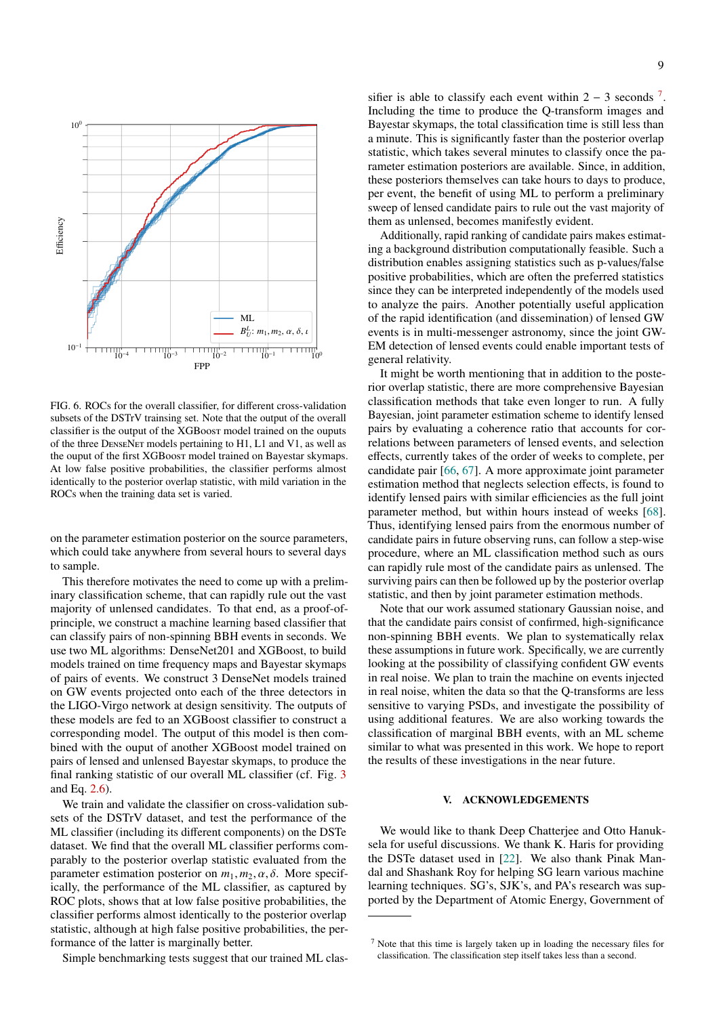

<span id="page-8-0"></span>FIG. 6. ROCs for the overall classifier, for different cross-validation subsets of the DSTrV trainsing set. Note that the output of the overall classifier is the output of the XGBoost model trained on the ouputs of the three DenseNet models pertaining to H1, L1 and V1, as well as the ouput of the first XGBoost model trained on Bayestar skymaps. At low false positive probabilities, the classifier performs almost identically to the posterior overlap statistic, with mild variation in the ROCs when the training data set is varied.

on the parameter estimation posterior on the source parameters, which could take anywhere from several hours to several days to sample.

This therefore motivates the need to come up with a preliminary classification scheme, that can rapidly rule out the vast majority of unlensed candidates. To that end, as a proof-ofprinciple, we construct a machine learning based classifier that can classify pairs of non-spinning BBH events in seconds. We use two ML algorithms: DenseNet201 and XGBoost, to build models trained on time frequency maps and Bayestar skymaps of pairs of events. We construct 3 DenseNet models trained on GW events projected onto each of the three detectors in the LIGO-Virgo network at design sensitivity. The outputs of these models are fed to an XGBoost classifier to construct a corresponding model. The output of this model is then combined with the ouput of another XGBoost model trained on pairs of lensed and unlensed Bayestar skymaps, to produce the final ranking statistic of our overall ML classifier (cf. Fig. [3](#page-5-0) and Eq. [2.6\)](#page-4-3).

We train and validate the classifier on cross-validation subsets of the DSTrV dataset, and test the performance of the ML classifier (including its different components) on the DSTe dataset. We find that the overall ML classifier performs comparably to the posterior overlap statistic evaluated from the parameter estimation posterior on  $m_1, m_2, \alpha, \delta$ . More specifically, the performance of the ML classifier, as captured by ROC plots, shows that at low false positive probabilities, the classifier performs almost identically to the posterior overlap statistic, although at high false positive probabilities, the performance of the latter is marginally better.

Simple benchmarking tests suggest that our trained ML clas-

sifier is able to classify each event within  $2 - 3$  seconds <sup>[7](#page-8-1)</sup>. Including the time to produce the Q-transform images and Bayestar skymaps, the total classification time is still less than a minute. This is significantly faster than the posterior overlap statistic, which takes several minutes to classify once the parameter estimation posteriors are available. Since, in addition, these posteriors themselves can take hours to days to produce, per event, the benefit of using ML to perform a preliminary sweep of lensed candidate pairs to rule out the vast majority of them as unlensed, becomes manifestly evident.

Additionally, rapid ranking of candidate pairs makes estimating a background distribution computationally feasible. Such a distribution enables assigning statistics such as p-values/false positive probabilities, which are often the preferred statistics since they can be interpreted independently of the models used to analyze the pairs. Another potentially useful application of the rapid identification (and dissemination) of lensed GW events is in multi-messenger astronomy, since the joint GW-EM detection of lensed events could enable important tests of general relativity.

It might be worth mentioning that in addition to the posterior overlap statistic, there are more comprehensive Bayesian classification methods that take even longer to run. A fully Bayesian, joint parameter estimation scheme to identify lensed pairs by evaluating a coherence ratio that accounts for correlations between parameters of lensed events, and selection effects, currently takes of the order of weeks to complete, per candidate pair [\[66,](#page-10-20) [67\]](#page-10-21). A more approximate joint parameter estimation method that neglects selection effects, is found to identify lensed pairs with similar efficiencies as the full joint parameter method, but within hours instead of weeks [\[68\]](#page-10-22). Thus, identifying lensed pairs from the enormous number of candidate pairs in future observing runs, can follow a step-wise procedure, where an ML classification method such as ours can rapidly rule most of the candidate pairs as unlensed. The surviving pairs can then be followed up by the posterior overlap statistic, and then by joint parameter estimation methods.

Note that our work assumed stationary Gaussian noise, and that the candidate pairs consist of confirmed, high-significance non-spinning BBH events. We plan to systematically relax these assumptions in future work. Specifically, we are currently looking at the possibility of classifying confident GW events in real noise. We plan to train the machine on events injected in real noise, whiten the data so that the Q-transforms are less sensitive to varying PSDs, and investigate the possibility of using additional features. We are also working towards the classification of marginal BBH events, with an ML scheme similar to what was presented in this work. We hope to report the results of these investigations in the near future.

# V. ACKNOWLEDGEMENTS

We would like to thank Deep Chatterjee and Otto Hanuksela for useful discussions. We thank K. Haris for providing the DSTe dataset used in [\[22\]](#page-9-14). We also thank Pinak Mandal and Shashank Roy for helping SG learn various machine learning techniques. SG's, SJK's, and PA's research was supported by the Department of Atomic Energy, Government of

<span id="page-8-1"></span><sup>7</sup> Note that this time is largely taken up in loading the necessary files for classification. The classification step itself takes less than a second.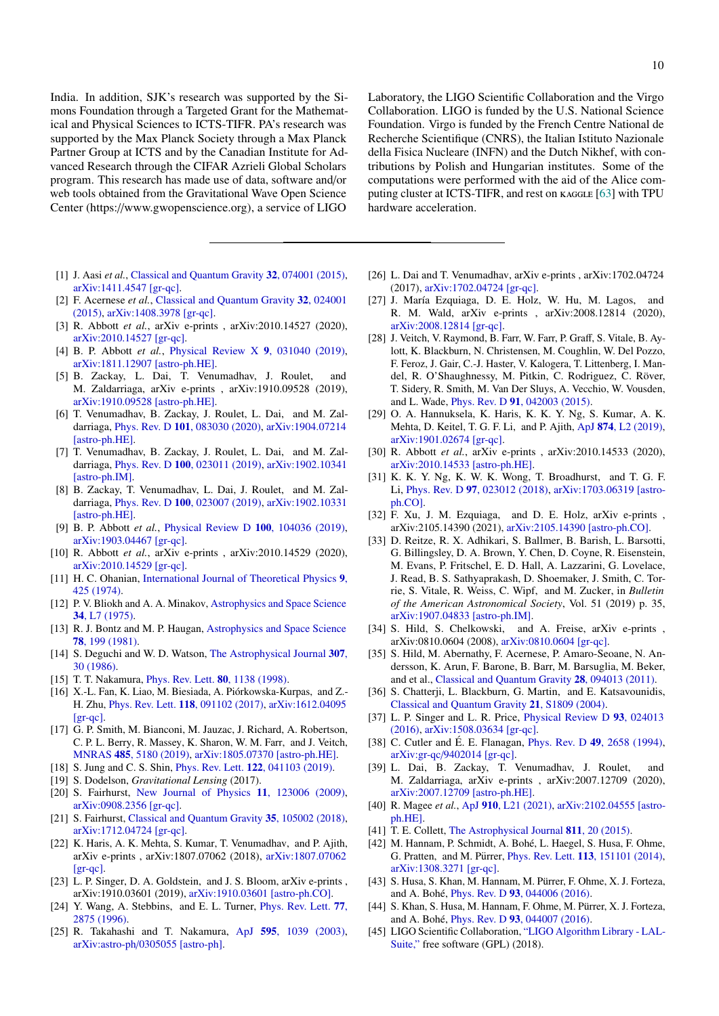India. In addition, SJK's research was supported by the Simons Foundation through a Targeted Grant for the Mathematical and Physical Sciences to ICTS-TIFR. PA's research was supported by the Max Planck Society through a Max Planck Partner Group at ICTS and by the Canadian Institute for Advanced Research through the CIFAR Azrieli Global Scholars program. This research has made use of data, software and/or web tools obtained from the Gravitational Wave Open Science Center (https://www.gwopenscience.org), a service of LIGO

- <span id="page-9-0"></span>[1] J. Aasi *et al.*, [Classical and Quantum Gravity](http://dx.doi.org/10.1088/0264-9381/32/7/074001) **32**, 074001 (2015), [arXiv:1411.4547 \[gr-qc\].](http://arxiv.org/abs/1411.4547)
- <span id="page-9-1"></span>[2] F. Acernese *et al.*, [Classical and Quantum Gravity](http://dx.doi.org/ 10.1088/0264-9381/32/2/024001) 32, 024001 [\(2015\),](http://dx.doi.org/ 10.1088/0264-9381/32/2/024001) [arXiv:1408.3978 \[gr-qc\].](http://arxiv.org/abs/1408.3978)
- <span id="page-9-2"></span>[3] R. Abbott *et al.*, arXiv e-prints , arXiv:2010.14527 (2020), [arXiv:2010.14527 \[gr-qc\].](http://arxiv.org/abs/2010.14527)
- [4] B. P. Abbott *et al.*, [Physical Review X](http://dx.doi.org/10.1103/PhysRevX.9.031040) 9, 031040 (2019), [arXiv:1811.12907 \[astro-ph.HE\].](http://arxiv.org/abs/1811.12907)
- [5] B. Zackay, L. Dai, T. Venumadhav, J. Roulet, and M. Zaldarriaga, arXiv e-prints , arXiv:1910.09528 (2019), [arXiv:1910.09528 \[astro-ph.HE\].](http://arxiv.org/abs/1910.09528)
- [6] T. Venumadhav, B. Zackay, J. Roulet, L. Dai, and M. Zaldarriaga, Phys. Rev. D 101[, 083030 \(2020\),](http://dx.doi.org/ 10.1103/PhysRevD.101.083030) [arXiv:1904.07214](http://arxiv.org/abs/1904.07214) [\[astro-ph.HE\].](http://arxiv.org/abs/1904.07214)
- [7] T. Venumadhav, B. Zackay, J. Roulet, L. Dai, and M. Zaldarriaga, Phys. Rev. D 100[, 023011 \(2019\),](http://dx.doi.org/ 10.1103/PhysRevD.100.023011) [arXiv:1902.10341](http://arxiv.org/abs/1902.10341) [\[astro-ph.IM\].](http://arxiv.org/abs/1902.10341)
- <span id="page-9-3"></span>[8] B. Zackay, T. Venumadhav, L. Dai, J. Roulet, and M. Zaldarriaga, Phys. Rev. D 100[, 023007 \(2019\),](http://dx.doi.org/10.1103/PhysRevD.100.023007) [arXiv:1902.10331](http://arxiv.org/abs/1902.10331) [\[astro-ph.HE\].](http://arxiv.org/abs/1902.10331)
- <span id="page-9-4"></span>[9] B. P. Abbott *et al.*, [Physical Review D](http://dx.doi.org/10.1103/PhysRevD.100.104036) 100, 104036 (2019), [arXiv:1903.04467 \[gr-qc\].](http://arxiv.org/abs/1903.04467)
- <span id="page-9-5"></span>[10] R. Abbott *et al.*, arXiv e-prints , arXiv:2010.14529 (2020), [arXiv:2010.14529 \[gr-qc\].](http://arxiv.org/abs/2010.14529)
- <span id="page-9-6"></span>[11] H. C. Ohanian, [International Journal of Theoretical Physics](http://dx.doi.org/10.1007/BF01810927) 9, [425 \(1974\).](http://dx.doi.org/10.1007/BF01810927)
- [12] P. V. Bliokh and A. A. Minakov, [Astrophysics and Space Science](http://dx.doi.org/10.1007/BF00644818) 34[, L7 \(1975\).](http://dx.doi.org/10.1007/BF00644818)
- [13] R. J. Bontz and M. P. Haugan, [Astrophysics and Space Science](http://dx.doi.org/10.1007/BF00654034) 78[, 199 \(1981\).](http://dx.doi.org/10.1007/BF00654034)
- <span id="page-9-16"></span>[14] S. Deguchi and W. D. Watson, [The Astrophysical Journal](http://dx.doi.org/10.1086/164389) 307, [30 \(1986\).](http://dx.doi.org/10.1086/164389)
- <span id="page-9-7"></span>[15] T. T. Nakamura, *[Phys. Rev. Lett.](http://dx.doi.org/10.1103/PhysRevLett.80.1138)* **80**, 1138 (1998).
- <span id="page-9-8"></span>[16] X.-L. Fan, K. Liao, M. Biesiada, A. Piorkowska-Kurpas, and Z.- ´ H. Zhu, Phys. Rev. Lett. 118[, 091102 \(2017\),](http://dx.doi.org/10.1103/PhysRevLett.118.091102) [arXiv:1612.04095](http://arxiv.org/abs/1612.04095) [\[gr-qc\].](http://arxiv.org/abs/1612.04095)
- <span id="page-9-9"></span>[17] G. P. Smith, M. Bianconi, M. Jauzac, J. Richard, A. Robertson, C. P. L. Berry, R. Massey, K. Sharon, W. M. Farr, and J. Veitch, MNRAS 485[, 5180 \(2019\),](http://dx.doi.org/ 10.1093/mnras/stz675) [arXiv:1805.07370 \[astro-ph.HE\].](http://arxiv.org/abs/1805.07370)
- <span id="page-9-10"></span>[18] S. Jung and C. S. Shin, *Phys. Rev. Lett.* **122**[, 041103 \(2019\).](http://dx.doi.org/10.1103/PhysRevLett.122.041103)
- <span id="page-9-11"></span>[19] S. Dodelson, *Gravitational Lensing* (2017).
- <span id="page-9-12"></span>[20] S. Fairhurst, [New Journal of Physics](http://dx.doi.org/10.1088/1367-2630/11/12/123006) 11, 123006 (2009), [arXiv:0908.2356 \[gr-qc\].](http://arxiv.org/abs/0908.2356)
- <span id="page-9-13"></span>[21] S. Fairhurst, [Classical and Quantum Gravity](http://dx.doi.org/10.1088/1361-6382/aab675) 35, 105002 (2018), [arXiv:1712.04724 \[gr-qc\].](http://arxiv.org/abs/1712.04724)
- <span id="page-9-14"></span>[22] K. Haris, A. K. Mehta, S. Kumar, T. Venumadhav, and P. Ajith, arXiv e-prints , arXiv:1807.07062 (2018), [arXiv:1807.07062](http://arxiv.org/abs/1807.07062) [\[gr-qc\].](http://arxiv.org/abs/1807.07062)
- <span id="page-9-15"></span>[23] L. P. Singer, D. A. Goldstein, and J. S. Bloom, arXiv e-prints, arXiv:1910.03601 (2019), [arXiv:1910.03601 \[astro-ph.CO\].](http://arxiv.org/abs/1910.03601)
- <span id="page-9-17"></span>[24] Y. Wang, A. Stebbins, and E. L. Turner, *[Phys. Rev. Lett.](http://dx.doi.org/10.1103/PhysRevLett.77.2875)* **77**, [2875 \(1996\).](http://dx.doi.org/10.1103/PhysRevLett.77.2875)
- [25] R. Takahashi and T. Nakamura, ApJ 595[, 1039 \(2003\),](http://dx.doi.org/10.1086/377430) arXiv:astro-ph/[0305055 \[astro-ph\].](http://arxiv.org/abs/astro-ph/0305055)

Laboratory, the LIGO Scientific Collaboration and the Virgo Collaboration. LIGO is funded by the U.S. National Science Foundation. Virgo is funded by the French Centre National de Recherche Scientifique (CNRS), the Italian Istituto Nazionale della Fisica Nucleare (INFN) and the Dutch Nikhef, with contributions by Polish and Hungarian institutes. Some of the computations were performed with the aid of the Alice com-puting cluster at ICTS-TIFR, and rest on KAGGLE [\[63\]](#page-10-17) with TPU hardware acceleration.

- <span id="page-9-30"></span>[26] L. Dai and T. Venumadhav, arXiv e-prints , arXiv:1702.04724 (2017), [arXiv:1702.04724 \[gr-qc\].](http://arxiv.org/abs/1702.04724)
- <span id="page-9-18"></span>[27] J. María Ezquiaga, D. E. Holz, W. Hu, M. Lagos, and R. M. Wald, arXiv e-prints , arXiv:2008.12814 (2020), [arXiv:2008.12814 \[gr-qc\].](http://arxiv.org/abs/2008.12814)
- <span id="page-9-19"></span>[28] J. Veitch, V. Raymond, B. Farr, W. Farr, P. Graff, S. Vitale, B. Aylott, K. Blackburn, N. Christensen, M. Coughlin, W. Del Pozzo, F. Feroz, J. Gair, C.-J. Haster, V. Kalogera, T. Littenberg, I. Mandel, R. O'Shaughnessy, M. Pitkin, C. Rodriguez, C. Röver, T. Sidery, R. Smith, M. Van Der Sluys, A. Vecchio, W. Vousden, and L. Wade, Phys. Rev. D 91[, 042003 \(2015\).](http://dx.doi.org/10.1103/PhysRevD.91.042003)
- <span id="page-9-20"></span>[29] O. A. Hannuksela, K. Haris, K. K. Y. Ng, S. Kumar, A. K. Mehta, D. Keitel, T. G. F. Li, and P. Ajith, ApJ 874[, L2 \(2019\),](http://dx.doi.org/ 10.3847/2041-8213/ab0c0f) [arXiv:1901.02674 \[gr-qc\].](http://arxiv.org/abs/1901.02674)
- <span id="page-9-21"></span>[30] R. Abbott *et al.*, arXiv e-prints , arXiv:2010.14533 (2020), [arXiv:2010.14533 \[astro-ph.HE\].](http://arxiv.org/abs/2010.14533)
- <span id="page-9-22"></span>[31] K. K. Y. Ng, K. W. K. Wong, T. Broadhurst, and T. G. F. Li, Phys. Rev. D 97[, 023012 \(2018\),](http://dx.doi.org/10.1103/PhysRevD.97.023012) [arXiv:1703.06319 \[astro](http://arxiv.org/abs/1703.06319)[ph.CO\].](http://arxiv.org/abs/1703.06319)
- <span id="page-9-23"></span>[32] F. Xu, J. M. Ezquiaga, and D. E. Holz, arXiv e-prints , arXiv:2105.14390 (2021), [arXiv:2105.14390 \[astro-ph.CO\].](http://arxiv.org/abs/2105.14390)
- <span id="page-9-24"></span>[33] D. Reitze, R. X. Adhikari, S. Ballmer, B. Barish, L. Barsotti, G. Billingsley, D. A. Brown, Y. Chen, D. Coyne, R. Eisenstein, M. Evans, P. Fritschel, E. D. Hall, A. Lazzarini, G. Lovelace, J. Read, B. S. Sathyaprakash, D. Shoemaker, J. Smith, C. Torrie, S. Vitale, R. Weiss, C. Wipf, and M. Zucker, in *Bulletin of the American Astronomical Society*, Vol. 51 (2019) p. 35, [arXiv:1907.04833 \[astro-ph.IM\].](http://arxiv.org/abs/1907.04833)
- [34] S. Hild, S. Chelkowski, and A. Freise, arXiv e-prints , arXiv:0810.0604 (2008), [arXiv:0810.0604 \[gr-qc\].](http://arxiv.org/abs/0810.0604)
- <span id="page-9-25"></span>[35] S. Hild, M. Abernathy, F. Acernese, P. Amaro-Seoane, N. Andersson, K. Arun, F. Barone, B. Barr, M. Barsuglia, M. Beker, and et al., [Classical and Quantum Gravity](http://dx.doi.org/ 10.1088/0264-9381/28/9/094013) 28, 094013 (2011).
- <span id="page-9-26"></span>[36] S. Chatterji, L. Blackburn, G. Martin, and E. Katsavounidis, [Classical and Quantum Gravity](http://dx.doi.org/10.1088/0264-9381/21/20/024) 21, S1809 (2004).
- <span id="page-9-27"></span>[37] L. P. Singer and L. R. Price, [Physical Review D](http://dx.doi.org/10.1103/PhysRevD.93.024013) 93, 024013 [\(2016\),](http://dx.doi.org/10.1103/PhysRevD.93.024013) [arXiv:1508.03634 \[gr-qc\].](http://arxiv.org/abs/1508.03634)
- <span id="page-9-28"></span>[38] C. Cutler and É. E. Flanagan, *Phys. Rev. D* 49[, 2658 \(1994\),](http://dx.doi.org/10.1103/PhysRevD.49.2658) arXiv:gr-qc/[9402014 \[gr-qc\].](http://arxiv.org/abs/gr-qc/9402014)
- <span id="page-9-31"></span>[39] L. Dai, B. Zackay, T. Venumadhav, J. Roulet, and M. Zaldarriaga, arXiv e-prints , arXiv:2007.12709 (2020), [arXiv:2007.12709 \[astro-ph.HE\].](http://arxiv.org/abs/2007.12709)
- <span id="page-9-29"></span>[40] R. Magee *et al.*, ApJ 910[, L21 \(2021\),](http://dx.doi.org/10.3847/2041-8213/abed54) [arXiv:2102.04555 \[astro](http://arxiv.org/abs/2102.04555)[ph.HE\].](http://arxiv.org/abs/2102.04555)
- <span id="page-9-32"></span>[41] T. E. Collett, [The Astrophysical Journal](http://dx.doi.org/10.1088/0004-637x/811/1/20) **811**, 20 (2015).
- <span id="page-9-33"></span>[42] M. Hannam, P. Schmidt, A. Bohé, L. Haegel, S. Husa, F. Ohme, G. Pratten, and M. Pürrer, *Phys. Rev. Lett.* **113**[, 151101 \(2014\),](http://dx.doi.org/ 10.1103/PhysRevLett.113.151101) [arXiv:1308.3271 \[gr-qc\].](http://arxiv.org/abs/1308.3271)
- [43] S. Husa, S. Khan, M. Hannam, M. Pürrer, F. Ohme, X. J. Forteza, and A. Bohé, *Phys. Rev. D* 93[, 044006 \(2016\).](http://dx.doi.org/10.1103/PhysRevD.93.044006)
- <span id="page-9-34"></span>[44] S. Khan, S. Husa, M. Hannam, F. Ohme, M. Pürrer, X. J. Forteza, and A. Bohé, *Phys. Rev. D* 93[, 044007 \(2016\).](http://dx.doi.org/10.1103/PhysRevD.93.044007)
- <span id="page-9-35"></span>[45] LIGO Scientific Collaboration, ["LIGO Algorithm Library - LAL-](http://dx.doi.org/10.7935/GT1W-FZ16)[Suite,"](http://dx.doi.org/10.7935/GT1W-FZ16) free software (GPL) (2018).